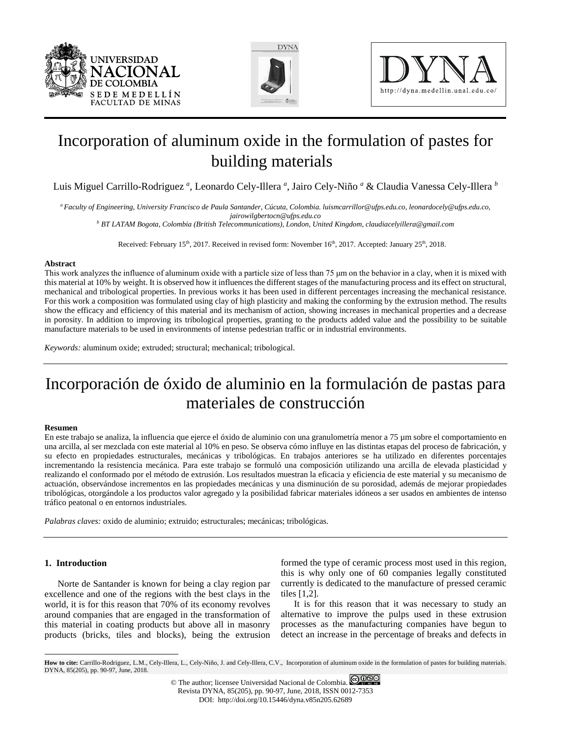





# Incorporation of aluminum oxide in the formulation of pastes for building materials

Luis Miguel Carrillo-Rodriguez *<sup>a</sup> ,* Leonardo Cely-Illera *<sup>a</sup>* , Jairo Cely-Niño *<sup>a</sup>* & Claudia Vanessa Cely-Illera *<sup>b</sup>*

*a Faculty of Engineering, University Francisco de Paula Santander, Cúcuta, Colombia. luismcarrillor@ufps.edu.co, leonardocely@ufps.edu.co, jairowilgbertocn@ufps.edu.co*

*<sup>b</sup> BT LATAM Bogota, Colombia (British Telecommunications), London, United Kingdom, claudiacelyillera@gmail.com*

Received: February 15<sup>th</sup>, 2017. Received in revised form: November 16<sup>th</sup>, 2017. Accepted: January 25<sup>th</sup>, 2018.

#### **Abstract**

This work analyzes the influence of aluminum oxide with a particle size of less than 75 μm on the behavior in a clay, when it is mixed with this material at 10% by weight. It is observed how it influences the different stages of the manufacturing process and its effect on structural, mechanical and tribological properties. In previous works it has been used in different percentages increasing the mechanical resistance. For this work a composition was formulated using clay of high plasticity and making the conforming by the extrusion method. The results show the efficacy and efficiency of this material and its mechanism of action, showing increases in mechanical properties and a decrease in porosity. In addition to improving its tribological properties, granting to the products added value and the possibility to be suitable manufacture materials to be used in environments of intense pedestrian traffic or in industrial environments.

*Keywords:* aluminum oxide; extruded; structural; mechanical; tribological.

# Incorporación de óxido de aluminio en la formulación de pastas para materiales de construcción

#### **Resumen**

En este trabajo se analiza, la influencia que ejerce el óxido de aluminio con una granulometría menor a 75 µm sobre el comportamiento en una arcilla, al ser mezclada con este material al 10% en peso. Se observa cómo influye en las distintas etapas del proceso de fabricación, y su efecto en propiedades estructurales, mecánicas y tribológicas. En trabajos anteriores se ha utilizado en diferentes porcentajes incrementando la resistencia mecánica. Para este trabajo se formuló una composición utilizando una arcilla de elevada plasticidad y realizando el conformado por el método de extrusión. Los resultados muestran la eficacia y eficiencia de este material y su mecanismo de actuación, observándose incrementos en las propiedades mecánicas y una disminución de su porosidad, además de mejorar propiedades tribológicas, otorgándole a los productos valor agregado y la posibilidad fabricar materiales idóneos a ser usados en ambientes de intenso tráfico peatonal o en entornos industriales.

*Palabras claves:* oxido de aluminio; extruido; estructurales; mecánicas; tribológicas.

## **1. Introduction**

 $\overline{a}$ 

Norte de Santander is known for being a clay region par excellence and one of the regions with the best clays in the world, it is for this reason that 70% of its economy revolves around companies that are engaged in the transformation of this material in coating products but above all in masonry products (bricks, tiles and blocks), being the extrusion

formed the type of ceramic process most used in this region, this is why only one of 60 companies legally constituted currently is dedicated to the manufacture of pressed ceramic tiles [1,2].

It is for this reason that it was necessary to study an alternative to improve the pulps used in these extrusion processes as the manufacturing companies have begun to detect an increase in the percentage of breaks and defects in

<span id="page-0-0"></span>**How to cite:** Carrillo-Rodriguez, L.M., Cely-Illera, L., Cely-Niño, J. and Cely-Illera, C.V., Incorporation of aluminum oxide in the formulation of pastes for building materials. DYNA, 85(205), pp. 90-97, June, 2018.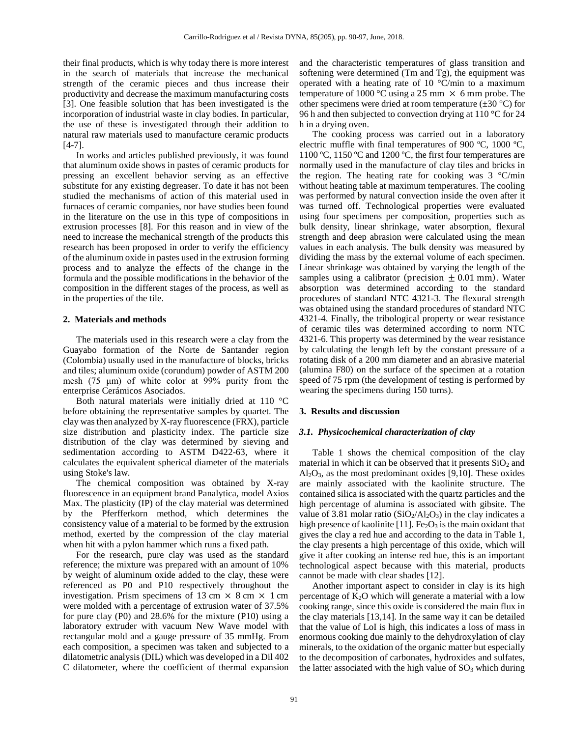their final products, which is why today there is more interest in the search of materials that increase the mechanical strength of the ceramic pieces and thus increase their productivity and decrease the maximum manufacturing costs [3]. One feasible solution that has been investigated is the incorporation of industrial waste in clay bodies. In particular, the use of these is investigated through their addition to natural raw materials used to manufacture ceramic products [4-7].

In works and articles published previously, it was found that aluminum oxide shows in pastes of ceramic products for pressing an excellent behavior serving as an effective substitute for any existing degreaser. To date it has not been studied the mechanisms of action of this material used in furnaces of ceramic companies, nor have studies been found in the literature on the use in this type of compositions in extrusion processes [8]. For this reason and in view of the need to increase the mechanical strength of the products this research has been proposed in order to verify the efficiency of the aluminum oxide in pastes used in the extrusion forming process and to analyze the effects of the change in the formula and the possible modifications in the behavior of the composition in the different stages of the process, as well as in the properties of the tile.

#### **2. Materials and methods**

The materials used in this research were a clay from the Guayabo formation of the Norte de Santander region (Colombia) usually used in the manufacture of blocks, bricks and tiles; aluminum oxide (corundum) powder of ASTM 200 mesh (75 μm) of white color at 99% purity from the enterprise Cerámicos Asociados.

Both natural materials were initially dried at 110 °C before obtaining the representative samples by quartet. The clay was then analyzed by X-ray fluorescence (FRX), particle size distribution and plasticity index. The particle size distribution of the clay was determined by sieving and sedimentation according to ASTM D422-63, where it calculates the equivalent spherical diameter of the materials using Stoke's law.

The chemical composition was obtained by X-ray fluorescence in an equipment brand Panalytica, model Axios Max. The plasticity (IP) of the clay material was determined by the Pferfferkorn method, which determines the consistency value of a material to be formed by the extrusion method, exerted by the compression of the clay material when hit with a pylon hammer which runs a fixed path.

For the research, pure clay was used as the standard reference; the mixture was prepared with an amount of 10% by weight of aluminum oxide added to the clay, these were referenced as P0 and P10 respectively throughout the investigation. Prism specimens of 13 cm  $\times$  8 cm  $\times$  1 cm were molded with a percentage of extrusion water of 37.5% for pure clay (P0) and 28.6% for the mixture (P10) using a laboratory extruder with vacuum New Wave model with rectangular mold and a gauge pressure of 35 mmHg. From each composition, a specimen was taken and subjected to a dilatometric analysis (DIL) which was developed in a Dil 402 C dilatometer, where the coefficient of thermal expansion

and the characteristic temperatures of glass transition and softening were determined (Tm and Tg), the equipment was operated with a heating rate of 10 °C/min to a maximum temperature of 1000 °C using a 25 mm  $\times$  6 mm probe. The other specimens were dried at room temperature  $(\pm 30 \degree C)$  for 96 h and then subjected to convection drying at 110 °C for 24 h in a drying oven.

The cooking process was carried out in a laboratory electric muffle with final temperatures of 900 ºC, 1000 ºC, 1100 ºC, 1150 ºC and 1200 ºC, the first four temperatures are normally used in the manufacture of clay tiles and bricks in the region. The heating rate for cooking was  $3 \degree C/\text{min}$ without heating table at maximum temperatures. The cooling was performed by natural convection inside the oven after it was turned off. Technological properties were evaluated using four specimens per composition, properties such as bulk density, linear shrinkage, water absorption, flexural strength and deep abrasion were calculated using the mean values in each analysis. The bulk density was measured by dividing the mass by the external volume of each specimen. Linear shrinkage was obtained by varying the length of the samples using a calibrator (precision  $\pm$  0.01 mm). Water absorption was determined according to the standard procedures of standard NTC 4321-3. The flexural strength was obtained using the standard procedures of standard NTC 4321-4. Finally, the tribological property or wear resistance of ceramic tiles was determined according to norm NTC 4321-6. This property was determined by the wear resistance by calculating the length left by the constant pressure of a rotating disk of a 200 mm diameter and an abrasive material (alumina F80) on the surface of the specimen at a rotation speed of 75 rpm (the development of testing is performed by wearing the specimens during 150 turns).

### **3. Results and discussion**

### *3.1. Physicochemical characterization of clay*

Table 1 shows the chemical composition of the clay material in which it can be observed that it presents  $SiO<sub>2</sub>$  and  $Al<sub>2</sub>O<sub>3</sub>$ , as the most predominant oxides [9,10]. These oxides are mainly associated with the kaolinite structure. The contained silica is associated with the quartz particles and the high percentage of alumina is associated with gibsite. The value of 3.81 molar ratio  $(SiO<sub>2</sub>/Al<sub>2</sub>O<sub>3</sub>)$  in the clay indicates a high presence of kaolinite  $[11]$ . Fe<sub>2</sub>O<sub>3</sub> is the main oxidant that gives the clay a red hue and according to the data in Table 1, the clay presents a high percentage of this oxide, which will give it after cooking an intense red hue, this is an important technological aspect because with this material, products cannot be made with clear shades [12].

Another important aspect to consider in clay is its high percentage of  $K_2O$  which will generate a material with a low cooking range, since this oxide is considered the main flux in the clay materials [13,14]. In the same way it can be detailed that the value of LoI is high, this indicates a loss of mass in enormous cooking due mainly to the dehydroxylation of clay minerals, to the oxidation of the organic matter but especially to the decomposition of carbonates, hydroxides and sulfates, the latter associated with the high value of  $SO<sub>3</sub>$  which during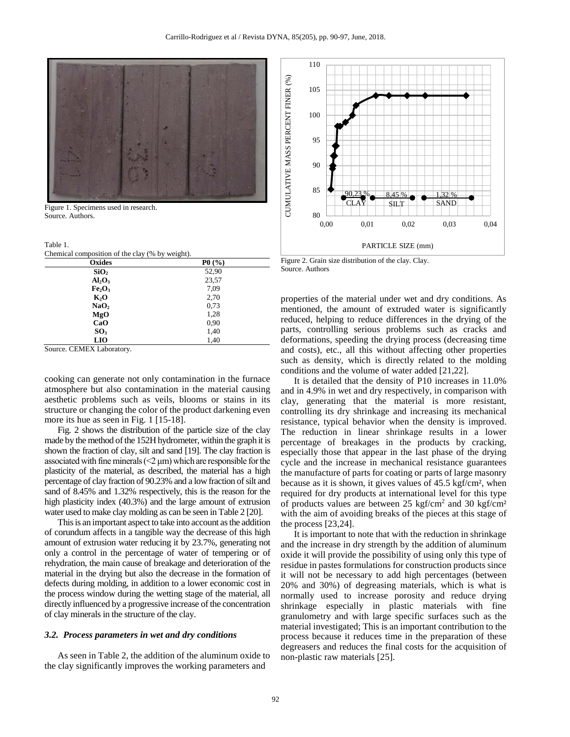

Figure 1. Specimens used in research. Source. Authors.

Table 1.

Chemical composition of the clay (% by weight).

| Oxides                         | P0(%) |
|--------------------------------|-------|
| SiO <sub>2</sub>               | 52,90 |
| Al <sub>2</sub> O <sub>3</sub> | 23,57 |
| Fe <sub>2</sub> O <sub>3</sub> | 7,09  |
| $K_2O$                         | 2,70  |
| NaO <sub>2</sub>               | 0,73  |
| MgO                            | 1,28  |
| CaO                            | 0,90  |
| SO <sub>3</sub>                | 1,40  |
| <b>LIO</b>                     | 1,40  |

Source. CEMEX Laboratory.

cooking can generate not only contamination in the furnace atmosphere but also contamination in the material causing aesthetic problems such as veils, blooms or stains in its structure or changing the color of the product darkening even more its hue as seen in Fig. 1 [15-18].

Fig. 2 shows the distribution of the particle size of the clay made by the method of the 152H hydrometer, within the graph it is shown the fraction of clay, silt and sand [19]. The clay fraction is associated with fine minerals  $(<2 \mu m)$  which are responsible for the plasticity of the material, as described, the material has a high percentage of clay fraction of 90.23% and a low fraction of silt and sand of 8.45% and 1.32% respectively, this is the reason for the high plasticity index (40.3%) and the large amount of extrusion water used to make clay molding as can be seen in Table 2 [20].

This is an important aspect to take into account as the addition of corundum affects in a tangible way the decrease of this high amount of extrusion water reducing it by 23.7%, generating not only a control in the percentage of water of tempering or of rehydration, the main cause of breakage and deterioration of the material in the drying but also the decrease in the formation of defects during molding, in addition to a lower economic cost in the process window during the wetting stage of the material, all directly influenced by a progressive increase of the concentration of clay minerals in the structure of the clay.

### *3.2. Process parameters in wet and dry conditions*

As seen in Table 2, the addition of the aluminum oxide to the clay significantly improves the working parameters and



Figure 2. Grain size distribution of the clay. Clay. Source. Authors

properties of the material under wet and dry conditions. As mentioned, the amount of extruded water is significantly reduced, helping to reduce differences in the drying of the parts, controlling serious problems such as cracks and deformations, speeding the drying process (decreasing time and costs), etc., all this without affecting other properties such as density, which is directly related to the molding conditions and the volume of water added [21,22].

It is detailed that the density of P10 increases in 11.0% and in 4.9% in wet and dry respectively, in comparison with clay, generating that the material is more resistant, controlling its dry shrinkage and increasing its mechanical resistance, typical behavior when the density is improved. The reduction in linear shrinkage results in a lower percentage of breakages in the products by cracking, especially those that appear in the last phase of the drying cycle and the increase in mechanical resistance guarantees the manufacture of parts for coating or parts of large masonry because as it is shown, it gives values of 45.5 kgf/cm², when required for dry products at international level for this type of products values are between 25 kgf/cm<sup>2</sup> and 30 kgf/cm<sup>2</sup> with the aim of avoiding breaks of the pieces at this stage of the process [23,24].

It is important to note that with the reduction in shrinkage and the increase in dry strength by the addition of aluminum oxide it will provide the possibility of using only this type of residue in pastes formulations for construction products since it will not be necessary to add high percentages (between 20% and 30%) of degreasing materials, which is what is normally used to increase porosity and reduce drying shrinkage especially in plastic materials with fine granulometry and with large specific surfaces such as the material investigated; This is an important contribution to the process because it reduces time in the preparation of these degreasers and reduces the final costs for the acquisition of non-plastic raw materials [25].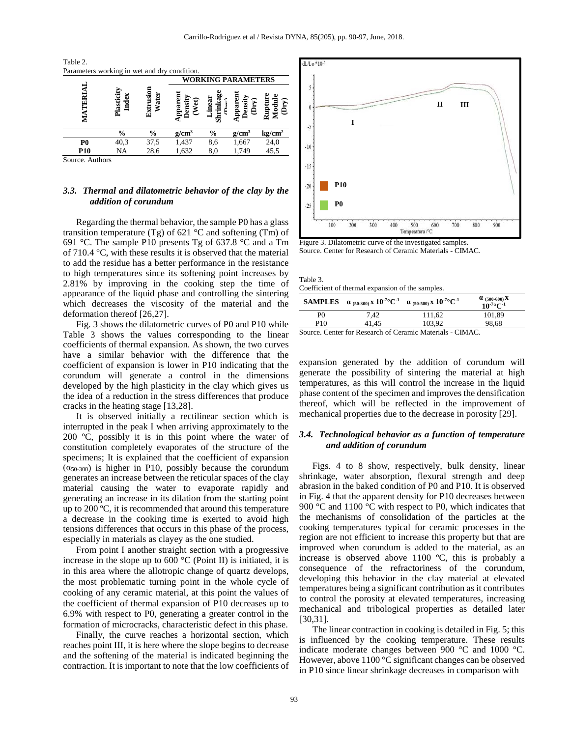$T_{\rm{2.1}}$ 



# *3.3. Thermal and dilatometric behavior of the clay by the addition of corundum*

Regarding the thermal behavior, the sample P0 has a glass transition temperature (Tg) of 621  $^{\circ}$ C and softening (Tm) of 691 °C. The sample P10 presents Tg of 637.8 °C and a Tm of 710.4 °C, with these results it is observed that the material to add the residue has a better performance in the resistance to high temperatures since its softening point increases by 2.81% by improving in the cooking step the time of appearance of the liquid phase and controlling the sintering which decreases the viscosity of the material and the deformation thereof [26,27].

Fig. 3 shows the dilatometric curves of P0 and P10 while Table 3 shows the values corresponding to the linear coefficients of thermal expansion. As shown, the two curves have a similar behavior with the difference that the coefficient of expansion is lower in P10 indicating that the corundum will generate a control in the dimensions developed by the high plasticity in the clay which gives us the idea of a reduction in the stress differences that produce cracks in the heating stage [13,28].

It is observed initially a rectilinear section which is interrupted in the peak I when arriving approximately to the 200 ºC, possibly it is in this point where the water of constitution completely evaporates of the structure of the specimens; It is explained that the coefficient of expansion  $(\alpha_{50-300})$  is higher in P10, possibly because the corundum generates an increase between the reticular spaces of the clay material causing the water to evaporate rapidly and generating an increase in its dilation from the starting point up to 200 ºC, it is recommended that around this temperature a decrease in the cooking time is exerted to avoid high tensions differences that occurs in this phase of the process, especially in materials as clayey as the one studied.

From point I another straight section with a progressive increase in the slope up to 600  $\mathrm{^{\circ}C}$  (Point II) is initiated, it is in this area where the allotropic change of quartz develops, the most problematic turning point in the whole cycle of cooking of any ceramic material, at this point the values of the coefficient of thermal expansion of P10 decreases up to 6.9% with respect to P0, generating a greater control in the formation of microcracks, characteristic defect in this phase.

Finally, the curve reaches a horizontal section, which reaches point III, it is here where the slope begins to decrease and the softening of the material is indicated beginning the contraction. It is important to note that the low coefficients of



Figure 3. Dilatometric curve of the investigated samples. Source. Center for Research of Ceramic Materials - CIMAC.

| rabie 5.                                         |  |
|--------------------------------------------------|--|
| Coefficient of thermal expansion of the samples. |  |

| <b>SAMPLES</b>                                            | $\alpha$ (50-300) X $10^{-7}$ °C <sup>-1</sup> | $\alpha$ (50-500) X $10^{-7}$ °C <sup>-1</sup> | $\alpha$ (500-600) X<br>$10^{-7}$ °C <sup>-1</sup> |  |
|-----------------------------------------------------------|------------------------------------------------|------------------------------------------------|----------------------------------------------------|--|
| P <sub>0</sub>                                            | 7.42                                           | 111.62                                         | 101.89                                             |  |
| P <sub>10</sub>                                           | 41.45                                          | 103.92                                         | 98.68                                              |  |
| Source. Center for Research of Ceramic Materials - CIMAC. |                                                |                                                |                                                    |  |

expansion generated by the addition of corundum will generate the possibility of sintering the material at high temperatures, as this will control the increase in the liquid phase content of the specimen and improves the densification thereof, which will be reflected in the improvement of mechanical properties due to the decrease in porosity [29].

## *3.4. Technological behavior as a function of temperature and addition of corundum*

Figs. 4 to 8 show, respectively, bulk density, linear shrinkage, water absorption, flexural strength and deep abrasion in the baked condition of P0 and P10. It is observed in Fig. 4 that the apparent density for P10 decreases between 900 °C and 1100 °C with respect to P0, which indicates that the mechanisms of consolidation of the particles at the cooking temperatures typical for ceramic processes in the region are not efficient to increase this property but that are improved when corundum is added to the material, as an increase is observed above 1100 ºC, this is probably a consequence of the refractoriness of the corundum, developing this behavior in the clay material at elevated temperatures being a significant contribution as it contributes to control the porosity at elevated temperatures, increasing mechanical and tribological properties as detailed later [30,31].

The linear contraction in cooking is detailed in Fig. 5; this is influenced by the cooking temperature. These results indicate moderate changes between 900 °C and 1000 °C. However, above 1100 °C significant changes can be observed in P10 since linear shrinkage decreases in comparison with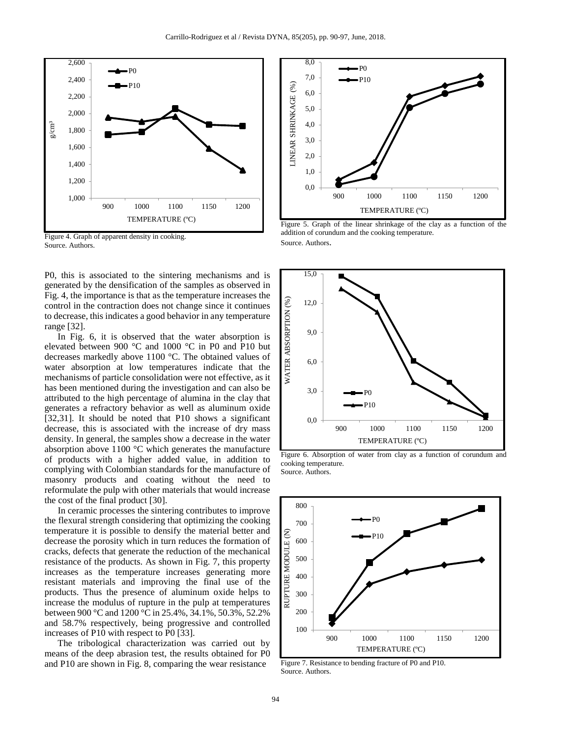

Figure 4. Graph of apparent density in cooking. Source. Authors.

P0, this is associated to the sintering mechanisms and is generated by the densification of the samples as observed in Fig. 4, the importance is that as the temperature increases the control in the contraction does not change since it continues to decrease, this indicates a good behavior in any temperature range [32].

In Fig. 6, it is observed that the water absorption is elevated between 900 °C and 1000 °C in P0 and P10 but decreases markedly above 1100 °C. The obtained values of water absorption at low temperatures indicate that the mechanisms of particle consolidation were not effective, as it has been mentioned during the investigation and can also be attributed to the high percentage of alumina in the clay that generates a refractory behavior as well as aluminum oxide [32,31]. It should be noted that P10 shows a significant decrease, this is associated with the increase of dry mass density. In general, the samples show a decrease in the water absorption above 1100 °C which generates the manufacture of products with a higher added value, in addition to complying with Colombian standards for the manufacture of masonry products and coating without the need to reformulate the pulp with other materials that would increase the cost of the final product [30].

In ceramic processes the sintering contributes to improve the flexural strength considering that optimizing the cooking temperature it is possible to densify the material better and decrease the porosity which in turn reduces the formation of cracks, defects that generate the reduction of the mechanical resistance of the products. As shown in Fig. 7, this property increases as the temperature increases generating more resistant materials and improving the final use of the products. Thus the presence of aluminum oxide helps to increase the modulus of rupture in the pulp at temperatures between 900 °C and 1200 °C in 25.4%, 34.1%, 50.3%, 52.2% and 58.7% respectively, being progressive and controlled increases of P10 with respect to P0 [33].

The tribological characterization was carried out by means of the deep abrasion test, the results obtained for P0 and P10 are shown in Fig. 8, comparing the wear resistance



Figure 5. Graph of the linear shrinkage of the clay as a function of the addition of corundum and the cooking temperature. Source. Authors.



Figure 6. Absorption of water from clay as a function of corundum and cooking temperature. Source. Authors.



Figure 7. Resistance to bending fracture of P0 and P10. Source. Authors.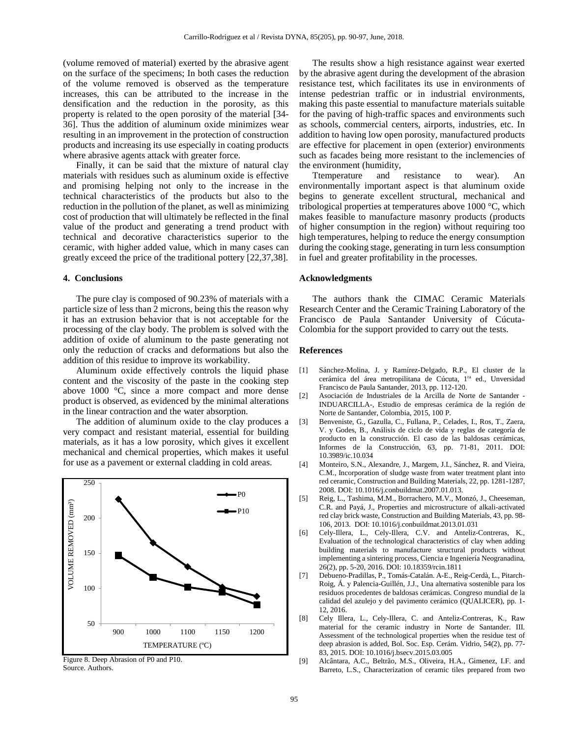(volume removed of material) exerted by the abrasive agent on the surface of the specimens; In both cases the reduction of the volume removed is observed as the temperature increases, this can be attributed to the increase in the densification and the reduction in the porosity, as this property is related to the open porosity of the material [34- 36]. Thus the addition of aluminum oxide minimizes wear resulting in an improvement in the protection of construction products and increasing its use especially in coating products where abrasive agents attack with greater force.

Finally, it can be said that the mixture of natural clay materials with residues such as aluminum oxide is effective and promising helping not only to the increase in the technical characteristics of the products but also to the reduction in the pollution of the planet, as well as minimizing cost of production that will ultimately be reflected in the final value of the product and generating a trend product with technical and decorative characteristics superior to the ceramic, with higher added value, which in many cases can greatly exceed the price of the traditional pottery [22,37,38].

#### **4. Conclusions**

The pure clay is composed of 90.23% of materials with a particle size of less than 2 microns, being this the reason why it has an extrusion behavior that is not acceptable for the processing of the clay body. The problem is solved with the addition of oxide of aluminum to the paste generating not only the reduction of cracks and deformations but also the addition of this residue to improve its workability.

Aluminum oxide effectively controls the liquid phase content and the viscosity of the paste in the cooking step above 1000 °C, since a more compact and more dense product is observed, as evidenced by the minimal alterations in the linear contraction and the water absorption.

The addition of aluminum oxide to the clay produces a very compact and resistant material, essential for building materials, as it has a low porosity, which gives it excellent mechanical and chemical properties, which makes it useful for use as a pavement or external cladding in cold areas.





The results show a high resistance against wear exerted by the abrasive agent during the development of the abrasion resistance test, which facilitates its use in environments of intense pedestrian traffic or in industrial environments, making this paste essential to manufacture materials suitable for the paving of high-traffic spaces and environments such as schools, commercial centers, airports, industries, etc. In addition to having low open porosity, manufactured products are effective for placement in open (exterior) environments such as facades being more resistant to the inclemencies of the environment (humidity,<br>Temperature and resistance

Ttemperature and resistance to wear). An environmentally important aspect is that aluminum oxide begins to generate excellent structural, mechanical and tribological properties at temperatures above 1000 °C, which makes feasible to manufacture masonry products (products of higher consumption in the region) without requiring too high temperatures, helping to reduce the energy consumption during the cooking stage, generating in turn less consumption in fuel and greater profitability in the processes.

#### **Acknowledgments**

The authors thank the CIMAC Ceramic Materials Research Center and the Ceramic Training Laboratory of the Francisco de Paula Santander University of Cúcuta-Colombia for the support provided to carry out the tests.

#### **References**

- [1] Sánchez-Molina, J. y Ramírez-Delgado, R.P., El cluster de la cerámica del área metropilitana de Cúcuta, 1ra ed., Unversidad Francisco de Paula Santander, 2013, pp. 112-120.
- [2] Asociación de Industriales de la Arcilla de Norte de Santander INDUARCILLA-, Estudio de empresas cerámica de la región de Norte de Santander, Colombia, 2015, 100 P.
- [3] Benveniste, G., Gazulla, C., Fullana, P., Celades, I., Ros, T., Zaera, V. y Godes, B., Análisis de ciclo de vida y reglas de categoría de producto en la construcción. El caso de las baldosas cerámicas, Informes de la Construcción, 63, pp. 71-81, 2011. DOI: 10.3989/ic.10.034
- [4] Monteiro, S.N., Alexandre, J., Margem, J.I., Sánchez, R. and Vieira, C.M., Incorporation of sludge waste from water treatment plant into red ceramic, Construction and Building Materials, 22, pp. 1281-1287, 2008. DOI: 10.1016/j.conbuildmat.2007.01.013.
- [5] Reig, L., Tashima, M.M., Borrachero, M.V., Monzó, J., Cheeseman, C.R. and Payá, J., Properties and microstructure of alkali-activated red clay brick waste, Construction and Building Materials, 43, pp. 98- 106, 2013. DOI: 10.1016/j.conbuildmat.2013.01.031
- [6] Cely-Illera, L., Cely-Illera, C.V. and Anteliz-Contreras, K., Evaluation of the technological characteristics of clay when adding building materials to manufacture structural products without implementing a sintering process, Ciencia e Ingeniería Neogranadina, 26(2), pp. 5-20, 2016. DOI: 10.18359/rcin.1811
- [7] Debueno-Pradillas, P., Tomás-Catalán. A-E., Reig-Cerdà, L., Pitarch-Roig, Á. y Palencia-Guillén, J.J., Una alternativa sostenible para los residuos procedentes de baldosas cerámicas. Congreso mundial de la calidad del azulejo y del pavimento cerámico (QUALICER), pp. 1- 12, 2016.
- [8] Cely Illera, L., Cely-Illera, C. and Anteliz-Contreras, K., Raw material for the ceramic industry in Norte de Santander. III. Assessment of the technological properties when the residue test of deep abrasion is added, Bol. Soc. Esp. Cerám. Vidrio, 54(2), pp. 77- 83, 2015. DOI: 10.1016/j.bsecv.2015.03.005
- [9] Alcântara, A.C., Beltrão, M.S., Oliveira, H.A., Gimenez, I.F. and Barreto, L.S., Characterization of ceramic tiles prepared from two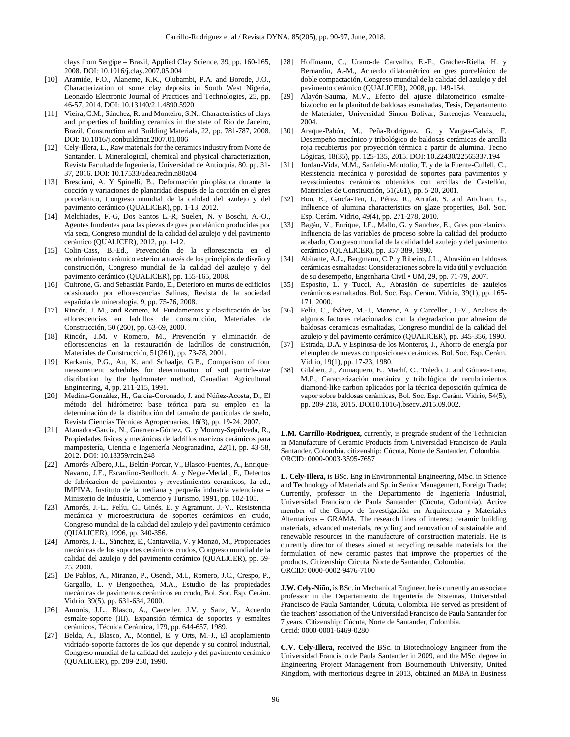clays from Sergipe – Brazil, Applied Clay Science, 39, pp. 160-165, 2008. DOI: 10.1016/j.clay.2007.05.004

- [10] Aramide, F.O., Alaneme, K.K., Olubambi, P.A. and Borode, J.O., Characterization of some clay deposits in South West Nigeria, Leonardo Electronic Journal of Practices and Technologies, 25, pp. 46-57, 2014. DOI: 10.13140/2.1.4890.5920
- [11] Vieira, C.M., Sánchez, R. and Monteiro, S.N., Characteristics of clays and properties of building ceramics in the state of Rio de Janeiro, Brazil, Construction and Building Materials, 22, pp. 781-787, 2008. DOI: 10.1016/j.conbuildmat.2007.01.006
- [12] Cely-Illera, L., Raw materials for the ceramics industry from Norte de Santander. I. Mineralogical, chemical and physical characterization, Revista Facultad de Ingeniería, Universidad de Antioquia, 80, pp. 31- 37, 2016. DOI: 10.17533/udea.redin.n80a04
- [13] Bresciani, A. Y Spinelli, B., Deformación piroplástica durante la cocción y variaciones de planaridad después de la cocción en el gres porcelánico, Congreso mundial de la calidad del azulejo y del pavimento cerámico (QUALICER), pp. 1-13, 2012.
- [14] Melchiades, F.-G, Dos Santos L.-R, Suelen, N. y Boschi, A.-O., Agentes fundentes para las piezas de gres porcelánico producidas por vía seca, Congreso mundial de la calidad del azulejo y del pavimento cerámico (QUALICER), 2012, pp. 1-12.
- [15] Colin-Cass, B.-Ed., Prevención de la eflorescencia en el recubrimiento cerámico exterior a través de los principios de diseño y construcción, Congreso mundial de la calidad del azulejo y del pavimento cerámico (QUALICER), pp. 155-165, 2008.
- [16] Cultrone, G. and Sebastián Pardo, E., Deterioro en muros de edificios ocasionado por eflorescencias Salinas, Revista de la sociedad española de mineralogía, 9, pp. 75-76, 2008.
- [17] Rincón, J. M., and Romero, M. Fundamentos y clasificación de las eflorescencias en ladrillos de construcción, Materiales de Construcción, 50 (260), pp. 63-69, 2000.
- [18] Rincón, J.M. y Romero, M., Prevención y eliminación de eflorescencias en la restauración de ladrillos de construcción, Materiales de Construcción, 51(261), pp. 73-78, 2001.
- [19] Karkanis, P.G., Au, K. and Schaalje, G.B., Comparison of four measurement schedules for determination of soil particle-size distribution by the hydrometer method, Canadian Agricultural Engineering, 4, pp. 211-215, 1991.
- [20] Medina-González, H., García-Coronado, J. and Núñez-Acosta, D., El método del hidrómetro: base teórica para su empleo en la determinación de la distribución del tamaño de partículas de suelo, Revista Ciencias Técnicas Agropecuarias, 16(3), pp. 19-24, 2007.
- [21] Afanador-García, N., Guerrero-Gómez, G. y Monroy-Sepúlveda, R., Propiedades físicas y mecánicas de ladrillos macizos cerámicos para mampostería, Ciencia e Ingeniería Neogranadina, 22(1), pp. 43-58, 2012. DOI: 10.18359/rcin.248
- [22] Amorós-Albero, J.L., Beltán-Porcar, V., Blasco-Fuentes, A., Enrique-Navarro, J.E., Escardino-Benlloch, A. y Negre-Medall, F., Defectos de fabricacion de pavimentos y revestimientos ceramicos, 1a ed., IMPIVA. Instituto de la mediana y pequeña industria valenciana – Ministerio de Industria, Comercio y Turismo, 1991, pp. 102-105.
- [23] Amorós, J.-L., Felíu, C., Ginés, E. y Agramunt, J.-V., Resistencia mecánica y microestructura de soportes cerámicos en crudo, Congreso mundial de la calidad del azulejo y del pavimento cerámico (QUALICER), 1996, pp. 340-356.
- [24] Amorós, J.-L., Sánchez, E., Cantavella, V. y Monzó, M., Propiedades mecánicas de los soportes cerámicos crudos, Congreso mundial de la calidad del azulejo y del pavimento cerámico (QUALICER), pp. 59- 75, 2000.
- [25] De Pablos, A., Miranzo, P., Osendi, M.I., Romero, J.C., Crespo, P., Gargallo, L. y Bengoechea, M.A., Estudio de las propiedades mecánicas de pavimentos cerámicos en crudo, Bol. Soc. Esp. Cerám. Vidrio, 39(5), pp. 631-634, 2000.
- [26] Amorós, J.L., Blasco, A., Caeceller, J.V. y Sanz, V.. Acuerdo esmalte-soporte (III). Expansión térmica de soportes y esmaltes cerámicos, Técnica Cerámica, 179, pp. 644-657, 1989.
- [27] Belda, A., Blasco, A., Montiel, E. y Orts, M.-J., El acoplamiento vidriado-soporte factores de los que depende y su control industrial, Congreso mundial de la calidad del azulejo y del pavimento cerámico (QUALICER), pp. 209-230, 1990.
- [28] Hoffmann, C., Urano-de Carvalho, E.-F., Gracher-Riella, H. y Bernardin, A.-M., Acuerdo dilatométrico en gres porcelánico de doble compactación, Congreso mundial de la calidad del azulejo y del pavimento cerámico (QUALICER), 2008, pp. 149-154.
- [29] Alayón-Sauma, M.V., Efecto del ajuste dilatometrico esmaltebizcocho en la planitud de baldosas esmaltadas, Tesis, Departamento de Materiales, Universidad Simon Bolivar, Sartenejas Venezuela, 2004.
- [30] Araque-Pabón, M., Peña-Rodríguez, G. y Vargas-Galvis, F. Desempeño mecánico y tribológico de baldosas cerámicas de arcilla roja recubiertas por proyección térmica a partir de alumina, Tecno Lógicas, 18(35), pp. 125-135, 2015. DOI: 10.22430/22565337.194
- [31] Jordan-Vida, M.M., Sanfeliu-Montolio, T. y de la Fuente-Cullell, C., Resistencia mecánica y porosidad de soportes para pavimentos y revestimientos cerámicos obtenidos con arcillas de Castellón, Materiales de Construcción, 51(261), pp. 5-20, 2001.
- [32] Bou, E., García-Ten, J., Pérez, R., Arrufat, S. and Atichian, G., Influence of alumina characteristics on glaze properties, Bol. Soc. Esp. Cerám. Vidrio, 49(4), pp. 271-278, 2010.
- [33] Bagán, V., Enrique, J.E., Mallo, G. y Sanchez, E., Gres porcelanico. Influencia de las variables de proceso sobre la calidad del producto acabado, Congreso mundial de la calidad del azulejo y del pavimento cerámico (QUALICER), pp. 357-389, 1990.
- [34] Abitante, A.L., Bergmann, C.P. y Ribeiro, J.L., Abrasión en baldosas cerámicas esmaltadas: Consideraciones sobre la vida útil y evaluación de su desempeño, Engenharia Civil • UM, 29, pp. 71-79, 2007.
- [35] Esposito, L. y Tucci, A., Abrasión de superficies de azulejos cerámicos esmaltados. Bol. Soc. Esp. Cerám. Vidrio, 39(1), pp. 165- 171, 2000.
- [36] Felíu, C., Ibáñez, M.-J., Moreno, A. y Carceller., J.-V., Analisis de algunos factores relacionados con la degradacion por abrasion de baldosas ceramicas esmaltadas, Congreso mundial de la calidad del azulejo y del pavimento cerámico (QUALICER), pp. 345-356, 1990.
- [37] Estrada, D.A. y Espinosa-de los Monteros, J., Ahorro de energía por el empleo de nuevas composiciones cerámicas, Bol. Soc. Esp. Cerám. Vidrio, 19(1), pp. 17-23, 1980.
- [38] Gilabert, J., Zumaquero, E., Machí, C., Toledo, J. and Gómez-Tena, M.P., Caracterización mecánica y tribológica de recubrimientos diamond-like carbon aplicados por la técnica deposición química de vapor sobre baldosas cerámicas, Bol. Soc. Esp. Cerám. Vidrio, 54(5), pp. 209-218, 2015. DOI10.1016/j.bsecv.2015.09.002.

**L.M. Carrillo-Rodriguez,** currently, is pregrade student of the Technician in Manufacture of Ceramic Products from Universidad Francisco de Paula Santander, Colombia. citizenship: Cúcuta, Norte de Santander, Colombia. ORCID: [0000-0003-3595-7657](https://orcid.org/0000-0003-3595-7657)

**L. Cely-Illera,** is BSc. Eng in Environmental Engineering, MSc. in Science and Technology of Materials and Sp. in Senior Management, Foreign Trade; Currently, professor in the Departamento de Ingeniería Industrial, Universidad Francisco de Paula Santander (Cúcuta, Colombia), Active member of the Grupo de Investigación en Arquitectura y Materiales Alternativos – GRAMA. The research lines of interest: ceramic building materials, advanced materials, recycling and renovation of sustainable and renewable resources in the manufacture of construction materials. He is currently director of theses aimed at recycling reusable materials for the formulation of new ceramic pastes that improve the properties of the products. Citizenship: Cúcuta, Norte de Santander, Colombia. ORCID: [0000-0002-9476-7100](https://orcid.org/0000-0002-9476-7100)

**J.W. Cely-Niño,** is BSc. in Mechanical Engineer, he is currently an associate professor in the Departamento de Ingeniería de Sistemas, Universidad Francisco de Paula Santander, Cúcuta, Colombia. He served as president of the teachers' association of the Universidad Francisco de Paula Santander for 7 years. Citizenship: Cúcuta, Norte de Santander, Colombia. Orcid[: 0000-0001-6469-0280](https://orcid.org/0000-0001-6469-0280)

**C.V. Cely-Illera,** received the BSc. in Biotechnology Engineer from the Universidad Francisco de Paula Santander in 2009, and the MSc. degree in Engineering Project Management from Bournemouth University, United Kingdom, with meritorious degree in 2013, obtained an MBA in Business